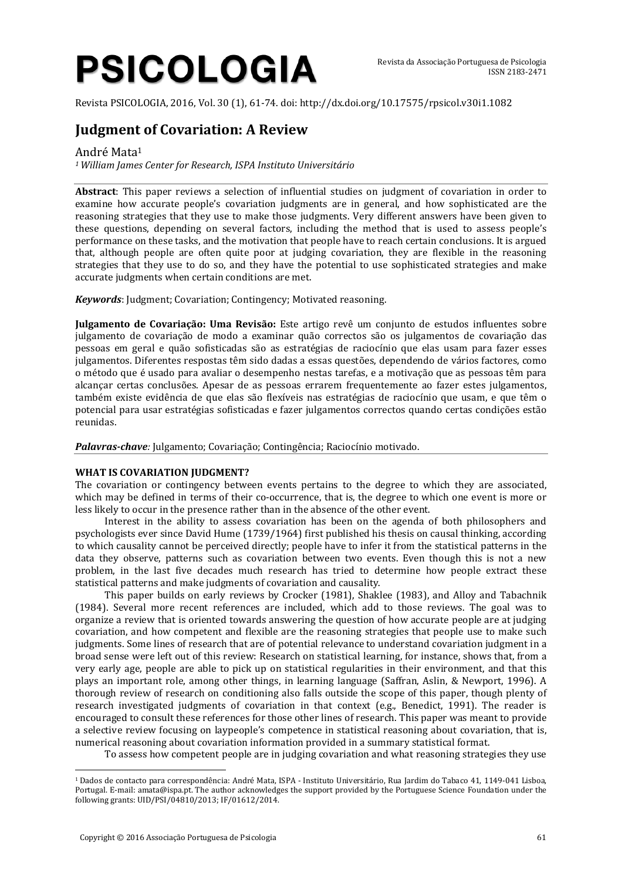# **PSICOLOGIA**

Revista PSICOLOGIA, 2016, Vol. 30 (1), 61-74. doi: http://dx.doi.org/10.17575/rpsicol.v30i1.1082

# **Judgment of Covariation: A Review**

André Mata<sup>1</sup>

*<sup>1</sup> William James Center for Research, ISPA Instituto Universitário*

**Abstract**: This paper reviews a selection of influential studies on judgment of covariation in order to examine how accurate people's covariation judgments are in general, and how sophisticated are the reasoning strategies that they use to make those judgments. Very different answers have been given to these questions, depending on several factors, including the method that is used to assess people's performance on these tasks, and the motivation that people have to reach certain conclusions. It is argued that, although people are often quite poor at judging covariation, they are flexible in the reasoning strategies that they use to do so, and they have the potential to use sophisticated strategies and make accurate judgments when certain conditions are met.

*Keywords*: Judgment; Covariation; Contingency; Motivated reasoning.

**Julgamento de Covariação: Uma Revisão:** Este artigo revê um conjunto de estudos influentes sobre julgamento de covariação de modo a examinar quão correctos são os julgamentos de covariação das pessoas em geral e quão sofisticadas são as estratégias de raciocínio que elas usam para fazer esses julgamentos. Diferentes respostas têm sido dadas a essas questões, dependendo de vários factores, como o método que é usado para avaliar o desempenho nestas tarefas, e a motivação que as pessoas têm para alcançar certas conclusões. Apesar de as pessoas errarem frequentemente ao fazer estes julgamentos, também existe evidência de que elas são flexíveis nas estratégias de raciocínio que usam, e que têm o potencial para usar estratégias sofisticadas e fazer julgamentos correctos quando certas condições estão reunidas.

*Palavras-chave:* Julgamento; Covariação; Contingência; Raciocínio motivado.

## **WHAT IS COVARIATION JUDGMENT?**

The covariation or contingency between events pertains to the degree to which they are associated, which may be defined in terms of their co-occurrence, that is, the degree to which one event is more or less likely to occur in the presence rather than in the absence of the other event.

Interest in the ability to assess covariation has been on the agenda of both philosophers and psychologists ever since David Hume (1739/1964) first published his thesis on causal thinking, according to which causality cannot be perceived directly; people have to infer it from the statistical patterns in the data they observe, patterns such as covariation between two events. Even though this is not a new problem, in the last five decades much research has tried to determine how people extract these statistical patterns and make judgments of covariation and causality.

This paper builds on early reviews by Crocker (1981), Shaklee (1983), and Alloy and Tabachnik (1984). Several more recent references are included, which add to those reviews. The goal was to organize a review that is oriented towards answering the question of how accurate people are at judging covariation, and how competent and flexible are the reasoning strategies that people use to make such judgments. Some lines of research that are of potential relevance to understand covariation judgment in a broad sense were left out of this review: Research on statistical learning, for instance, shows that, from a very early age, people are able to pick up on statistical regularities in their environment, and that this plays an important role, among other things, in learning language (Saffran, Aslin, & Newport, 1996). A thorough review of research on conditioning also falls outside the scope of this paper, though plenty of research investigated judgments of covariation in that context (e.g., Benedict, 1991). The reader is encouraged to consult these references for those other lines of research. This paper was meant to provide a selective review focusing on laypeople's competence in statistical reasoning about covariation, that is, numerical reasoning about covariation information provided in a summary statistical format.

To assess how competent people are in judging covariation and what reasoning strategies they use

 $\overline{a}$ 

<sup>1</sup> Dados de contacto para correspondência: André Mata, ISPA - Instituto Universitário, Rua Jardim do Tabaco 41, 1149-041 Lisboa, Portugal. E-mail: [amata@ispa.pt.](mailto:amata@ispa.pt) The author acknowledges the support provided by the Portuguese Science Foundation under the following grants: UID/PSI/04810/2013; IF/01612/2014.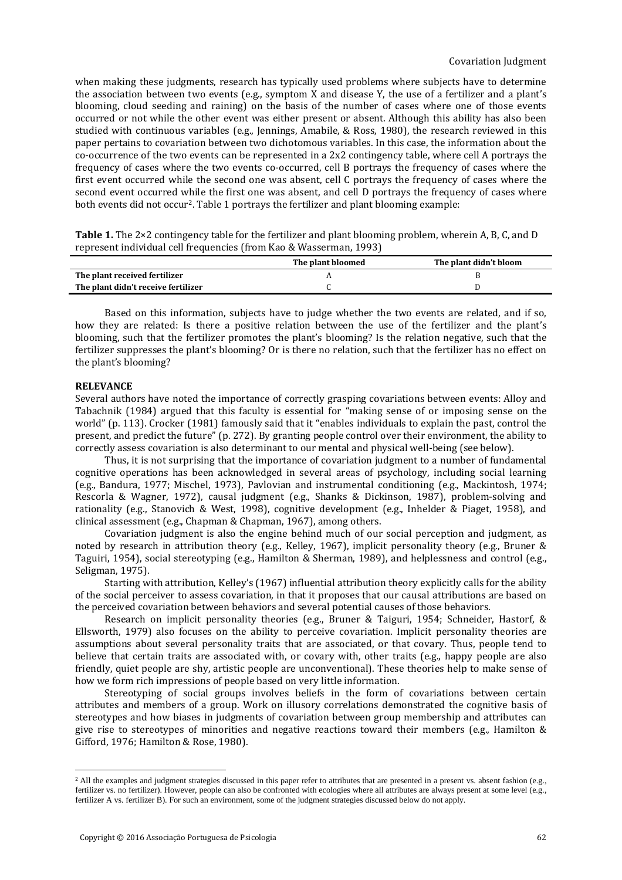when making these judgments, research has typically used problems where subjects have to determine the association between two events (e.g., symptom X and disease Y, the use of a fertilizer and a plant's blooming, cloud seeding and raining) on the basis of the number of cases where one of those events occurred or not while the other event was either present or absent. Although this ability has also been studied with continuous variables (e.g., Jennings, Amabile, & Ross, 1980), the research reviewed in this paper pertains to covariation between two dichotomous variables. In this case, the information about the co-occurrence of the two events can be represented in a 2x2 contingency table, where cell A portrays the frequency of cases where the two events co-occurred, cell B portrays the frequency of cases where the first event occurred while the second one was absent, cell C portrays the frequency of cases where the second event occurred while the first one was absent, and cell D portrays the frequency of cases where both events did not occur2. Table 1 portrays the fertilizer and plant blooming example:

**Table 1.** The 2×2 contingency table for the fertilizer and plant blooming problem, wherein A, B, C, and D represent individual cell frequencies (from Kao & Wasserman, 1993)

|                                     | The plant bloomed | The plant didn't bloom |
|-------------------------------------|-------------------|------------------------|
| The plant received fertilizer       |                   |                        |
| The plant didn't receive fertilizer |                   |                        |

Based on this information, subjects have to judge whether the two events are related, and if so, how they are related: Is there a positive relation between the use of the fertilizer and the plant's blooming, such that the fertilizer promotes the plant's blooming? Is the relation negative, such that the fertilizer suppresses the plant's blooming? Or is there no relation, such that the fertilizer has no effect on the plant's blooming?

#### **RELEVANCE**

 $\overline{a}$ 

Several authors have noted the importance of correctly grasping covariations between events: Alloy and Tabachnik (1984) argued that this faculty is essential for "making sense of or imposing sense on the world" (p. 113). Crocker (1981) famously said that it "enables individuals to explain the past, control the present, and predict the future" (p. 272). By granting people control over their environment, the ability to correctly assess covariation is also determinant to our mental and physical well-being (see below).

Thus, it is not surprising that the importance of covariation judgment to a number of fundamental cognitive operations has been acknowledged in several areas of psychology, including social learning (e.g., Bandura, 1977; Mischel, 1973), Pavlovian and instrumental conditioning (e.g., Mackintosh, 1974; Rescorla & Wagner, 1972), causal judgment (e.g., Shanks & Dickinson, 1987), problem-solving and rationality (e.g., Stanovich & West, 1998), cognitive development (e.g., Inhelder & Piaget, 1958), and clinical assessment (e.g., Chapman & Chapman, 1967), among others.

Covariation judgment is also the engine behind much of our social perception and judgment, as noted by research in attribution theory (e.g., Kelley, 1967), implicit personality theory (e.g., Bruner & Taguiri, 1954), social stereotyping (e.g., Hamilton & Sherman, 1989), and helplessness and control (e.g., Seligman, 1975).

Starting with attribution, Kelley's (1967) influential attribution theory explicitly calls for the ability of the social perceiver to assess covariation, in that it proposes that our causal attributions are based on the perceived covariation between behaviors and several potential causes of those behaviors.

Research on implicit personality theories (e.g., Bruner & Taiguri, 1954; Schneider, Hastorf, & Ellsworth, 1979) also focuses on the ability to perceive covariation. Implicit personality theories are assumptions about several personality traits that are associated, or that covary. Thus, people tend to believe that certain traits are associated with, or covary with, other traits (e.g., happy people are also friendly, quiet people are shy, artistic people are unconventional). These theories help to make sense of how we form rich impressions of people based on very little information.

Stereotyping of social groups involves beliefs in the form of covariations between certain attributes and members of a group. Work on illusory correlations demonstrated the cognitive basis of stereotypes and how biases in judgments of covariation between group membership and attributes can give rise to stereotypes of minorities and negative reactions toward their members (e.g., Hamilton  $\&$ Gifford, 1976; Hamilton & Rose, 1980).

<sup>&</sup>lt;sup>2</sup> All the examples and judgment strategies discussed in this paper refer to attributes that are presented in a present vs. absent fashion (e.g., fertilizer vs. no fertilizer). However, people can also be confronted with ecologies where all attributes are always present at some level (e.g., fertilizer A vs. fertilizer B). For such an environment, some of the judgment strategies discussed below do not apply.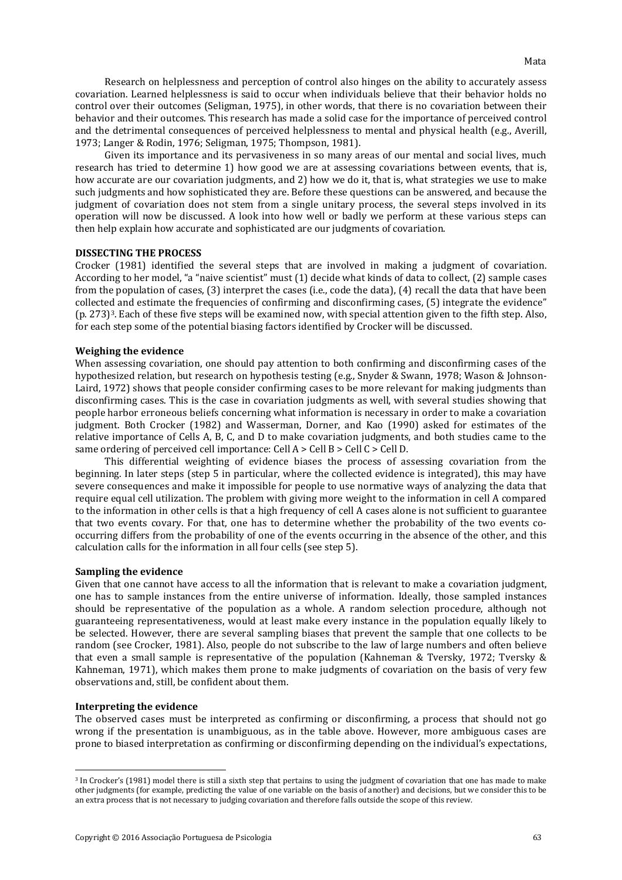Research on helplessness and perception of control also hinges on the ability to accurately assess covariation. Learned helplessness is said to occur when individuals believe that their behavior holds no control over their outcomes (Seligman, 1975), in other words, that there is no covariation between their behavior and their outcomes. This research has made a solid case for the importance of perceived control and the detrimental consequences of perceived helplessness to mental and physical health (e.g., Averill, 1973; Langer & Rodin, 1976; Seligman, 1975; Thompson, 1981).

Given its importance and its pervasiveness in so many areas of our mental and social lives, much research has tried to determine 1) how good we are at assessing covariations between events, that is, how accurate are our covariation judgments, and 2) how we do it, that is, what strategies we use to make such judgments and how sophisticated they are. Before these questions can be answered, and because the judgment of covariation does not stem from a single unitary process, the several steps involved in its operation will now be discussed. A look into how well or badly we perform at these various steps can then help explain how accurate and sophisticated are our judgments of covariation.

### **DISSECTING THE PROCESS**

Crocker (1981) identified the several steps that are involved in making a judgment of covariation. According to her model, "a "naive scientist" must (1) decide what kinds of data to collect, (2) sample cases from the population of cases, (3) interpret the cases (i.e., code the data), (4) recall the data that have been collected and estimate the frequencies of confirming and disconfirming cases, (5) integrate the evidence" (p. 273)3. Each of these five steps will be examined now, with special attention given to the fifth step. Also, for each step some of the potential biasing factors identified by Crocker will be discussed.

#### **Weighing the evidence**

When assessing covariation, one should pay attention to both confirming and disconfirming cases of the hypothesized relation, but research on hypothesis testing (e.g., Snyder & Swann, 1978; Wason & Johnson-Laird, 1972) shows that people consider confirming cases to be more relevant for making judgments than disconfirming cases. This is the case in covariation judgments as well, with several studies showing that people harbor erroneous beliefs concerning what information is necessary in order to make a covariation judgment. Both Crocker (1982) and Wasserman, Dorner, and Kao (1990) asked for estimates of the relative importance of Cells A, B, C, and D to make covariation judgments, and both studies came to the same ordering of perceived cell importance: Cell A > Cell B > Cell C > Cell D.

This differential weighting of evidence biases the process of assessing covariation from the beginning. In later steps (step 5 in particular, where the collected evidence is integrated), this may have severe consequences and make it impossible for people to use normative ways of analyzing the data that require equal cell utilization. The problem with giving more weight to the information in cell A compared to the information in other cells is that a high frequency of cell A cases alone is not sufficient to guarantee that two events covary. For that, one has to determine whether the probability of the two events cooccurring differs from the probability of one of the events occurring in the absence of the other, and this calculation calls for the information in all four cells (see step 5).

#### **Sampling the evidence**

Given that one cannot have access to all the information that is relevant to make a covariation judgment, one has to sample instances from the entire universe of information. Ideally, those sampled instances should be representative of the population as a whole. A random selection procedure, although not guaranteeing representativeness, would at least make every instance in the population equally likely to be selected. However, there are several sampling biases that prevent the sample that one collects to be random (see Crocker, 1981). Also, people do not subscribe to the law of large numbers and often believe that even a small sample is representative of the population (Kahneman & Tversky, 1972; Tversky & Kahneman, 1971), which makes them prone to make judgments of covariation on the basis of very few observations and, still, be confident about them.

#### **Interpreting the evidence**

 $\overline{a}$ 

The observed cases must be interpreted as confirming or disconfirming, a process that should not go wrong if the presentation is unambiguous, as in the table above. However, more ambiguous cases are prone to biased interpretation as confirming or disconfirming depending on the individual's expectations,

<sup>3</sup> In Crocker's (1981) model there is still a sixth step that pertains to using the judgment of covariation that one has made to make other judgments (for example, predicting the value of one variable on the basis of another) and decisions, but we consider this to be an extra process that is not necessary to judging covariation and therefore falls outside the scope of this review.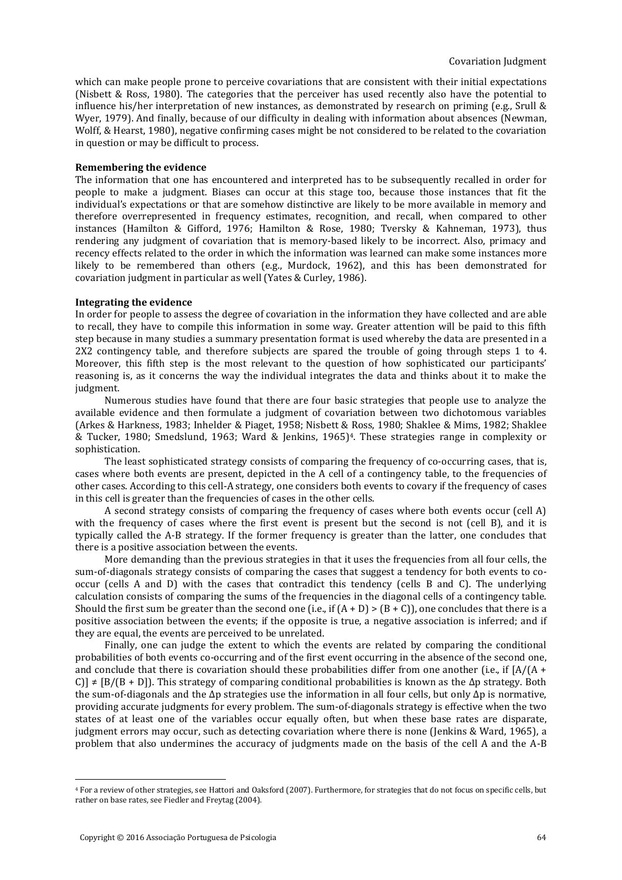which can make people prone to perceive covariations that are consistent with their initial expectations (Nisbett & Ross, 1980). The categories that the perceiver has used recently also have the potential to influence his/her interpretation of new instances, as demonstrated by research on priming (e.g., Srull & Wyer, 1979). And finally, because of our difficulty in dealing with information about absences (Newman, Wolff, & Hearst, 1980), negative confirming cases might be not considered to be related to the covariation in question or may be difficult to process.

#### **Remembering the evidence**

The information that one has encountered and interpreted has to be subsequently recalled in order for people to make a judgment. Biases can occur at this stage too, because those instances that fit the individual's expectations or that are somehow distinctive are likely to be more available in memory and therefore overrepresented in frequency estimates, recognition, and recall, when compared to other instances (Hamilton & Gifford, 1976; Hamilton & Rose, 1980; Tversky & Kahneman, 1973), thus rendering any judgment of covariation that is memory-based likely to be incorrect. Also, primacy and recency effects related to the order in which the information was learned can make some instances more likely to be remembered than others (e.g., Murdock, 1962), and this has been demonstrated for covariation judgment in particular as well (Yates & Curley, 1986).

#### **Integrating the evidence**

In order for people to assess the degree of covariation in the information they have collected and are able to recall, they have to compile this information in some way. Greater attention will be paid to this fifth step because in many studies a summary presentation format is used whereby the data are presented in a 2X2 contingency table, and therefore subjects are spared the trouble of going through steps 1 to 4. Moreover, this fifth step is the most relevant to the question of how sophisticated our participants' reasoning is, as it concerns the way the individual integrates the data and thinks about it to make the judgment.

Numerous studies have found that there are four basic strategies that people use to analyze the available evidence and then formulate a judgment of covariation between two dichotomous variables (Arkes & Harkness, 1983; Inhelder & Piaget, 1958; Nisbett & Ross, 1980; Shaklee & Mims, 1982; Shaklee & Tucker, 1980; Smedslund, 1963; Ward & Jenkins, 1965)4. These strategies range in complexity or sophistication.

The least sophisticated strategy consists of comparing the frequency of co-occurring cases, that is, cases where both events are present, depicted in the A cell of a contingency table, to the frequencies of other cases. According to this cell-A strategy, one considers both events to covary if the frequency of cases in this cell is greater than the frequencies of cases in the other cells.

A second strategy consists of comparing the frequency of cases where both events occur (cell A) with the frequency of cases where the first event is present but the second is not (cell B), and it is typically called the A-B strategy. If the former frequency is greater than the latter, one concludes that there is a positive association between the events.

More demanding than the previous strategies in that it uses the frequencies from all four cells, the sum-of-diagonals strategy consists of comparing the cases that suggest a tendency for both events to cooccur (cells A and D) with the cases that contradict this tendency (cells B and C). The underlying calculation consists of comparing the sums of the frequencies in the diagonal cells of a contingency table. Should the first sum be greater than the second one (i.e., if  $(A + D) > (B + C)$ ), one concludes that there is a positive association between the events; if the opposite is true, a negative association is inferred; and if they are equal, the events are perceived to be unrelated.

Finally, one can judge the extent to which the events are related by comparing the conditional probabilities of both events co-occurring and of the first event occurring in the absence of the second one, and conclude that there is covariation should these probabilities differ from one another (i.e., if  $[A/(A +$ C)]  $\neq$  [B/(B + D]). This strategy of comparing conditional probabilities is known as the  $\Delta p$  strategy. Both the sum-of-diagonals and the  $\Delta p$  strategies use the information in all four cells, but only  $\Delta p$  is normative, providing accurate judgments for every problem. The sum-of-diagonals strategy is effective when the two states of at least one of the variables occur equally often, but when these base rates are disparate, judgment errors may occur, such as detecting covariation where there is none (Jenkins & Ward, 1965), a problem that also undermines the accuracy of judgments made on the basis of the cell A and the A-B

 $\overline{a}$ 

<sup>4</sup> For a review of other strategies, see Hattori and Oaksford (2007). Furthermore, for strategies that do not focus on specific cells, but rather on base rates, see Fiedler and Freytag (2004).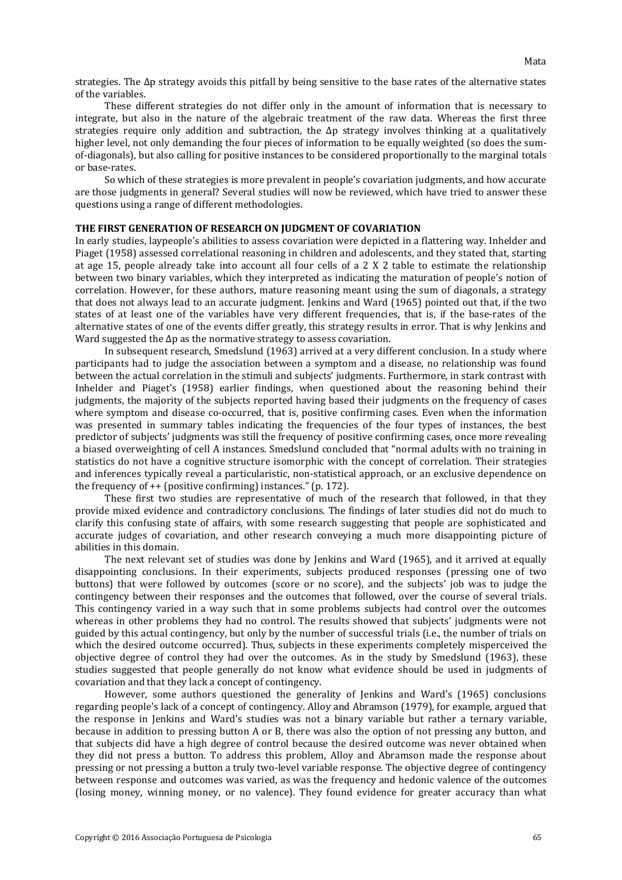strategies. The Δp strategy avoids this pitfall by being sensitive to the base rates of the alternative states of the variables.

These different strategies do not differ only in the amount of information that is necessary to integrate, but also in the nature of the algebraic treatment of the raw data. Whereas the first three strategies require only addition and subtraction, the Δp strategy involves thinking at a qualitatively higher level, not only demanding the four pieces of information to be equally weighted (so does the sumof-diagonals), but also calling for positive instances to be considered proportionally to the marginal totals or base-rates.

So which of these strategies is more prevalent in people's covariation judgments, and how accurate are those judgments in general? Several studies will now be reviewed, which have tried to answer these questions using a range of different methodologies.

#### **THE FIRST GENERATION OF RESEARCH ON JUDGMENT OF COVARIATION**

In early studies, laypeople's abilities to assess covariation were depicted in a flattering way. Inhelder and Piaget (1958) assessed correlational reasoning in children and adolescents, and they stated that, starting at age 15, people already take into account all four cells of a 2 X 2 table to estimate the relationship between two binary variables, which they interpreted as indicating the maturation of people's notion of correlation. However, for these authors, mature reasoning meant using the sum of diagonals, a strategy that does not always lead to an accurate judgment. Jenkins and Ward (1965) pointed out that, if the two states of at least one of the variables have very different frequencies, that is, if the base-rates of the alternative states of one of the events differ greatly, this strategy results in error. That is why Jenkins and Ward suggested the  $\Delta p$  as the normative strategy to assess covariation.

In subsequent research, Smedslund (1963) arrived at a very different conclusion. In a study where participants had to judge the association between a symptom and a disease, no relationship was found between the actual correlation in the stimuli and subjects' judgments. Furthermore, in stark contrast with Inhelder and Piaget's (1958) earlier findings, when questioned about the reasoning behind their judgments, the majority of the subjects reported having based their judgments on the frequency of cases where symptom and disease co-occurred, that is, positive confirming cases. Even when the information was presented in summary tables indicating the frequencies of the four types of instances, the best predictor of subjects' judgments was still the frequency of positive confirming cases, once more revealing a biased overweighting of cell A instances. Smedslund concluded that "normal adults with no training in statistics do not have a cognitive structure isomorphic with the concept of correlation. Their strategies and inferences typically reveal a particularistic, non-statistical approach, or an exclusive dependence on the frequency of ++ (positive confirming) instances." (p. 172).

These first two studies are representative of much of the research that followed, in that they provide mixed evidence and contradictory conclusions. The findings of later studies did not do much to clarify this confusing state of affairs, with some research suggesting that people are sophisticated and accurate judges of covariation, and other research conveying a much more disappointing picture of abilities in this domain.

The next relevant set of studies was done by Jenkins and Ward (1965), and it arrived at equally disappointing conclusions. In their experiments, subjects produced responses (pressing one of two buttons) that were followed by outcomes (score or no score), and the subjects' job was to judge the contingency between their responses and the outcomes that followed, over the course of several trials. This contingency varied in a way such that in some problems subjects had control over the outcomes whereas in other problems they had no control. The results showed that subjects' judgments were not guided by this actual contingency, but only by the number of successful trials (i.e., the number of trials on which the desired outcome occurred). Thus, subjects in these experiments completely misperceived the objective degree of control they had over the outcomes. As in the study by Smedslund (1963), these studies suggested that people generally do not know what evidence should be used in judgments of covariation and that they lack a concept of contingency.

However, some authors questioned the generality of Jenkins and Ward's (1965) conclusions regarding people's lack of a concept of contingency. Alloy and Abramson (1979), for example, argued that the response in Jenkins and Ward's studies was not a binary variable but rather a ternary variable, because in addition to pressing button A or B, there was also the option of not pressing any button, and that subjects did have a high degree of control because the desired outcome was never obtained when they did not press a button. To address this problem, Alloy and Abramson made the response about pressing or not pressing a button a truly two-level variable response. The objective degree of contingency between response and outcomes was varied, as was the frequency and hedonic valence of the outcomes (losing money, winning money, or no valence). They found evidence for greater accuracy than what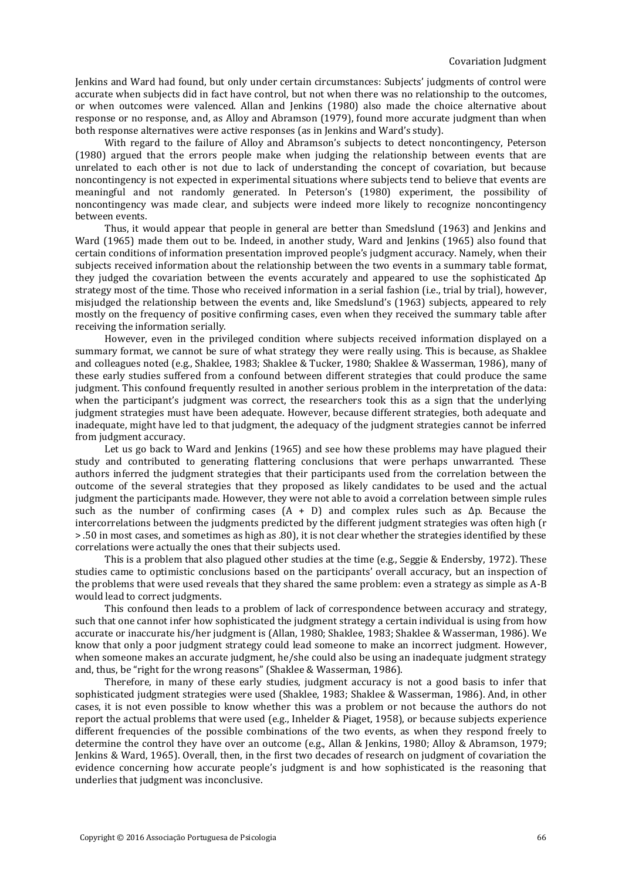Jenkins and Ward had found, but only under certain circumstances: Subjects' judgments of control were accurate when subjects did in fact have control, but not when there was no relationship to the outcomes, or when outcomes were valenced. Allan and Jenkins (1980) also made the choice alternative about response or no response, and, as Alloy and Abramson (1979), found more accurate judgment than when both response alternatives were active responses (as in Jenkins and Ward's study).

With regard to the failure of Alloy and Abramson's subjects to detect noncontingency, Peterson (1980) argued that the errors people make when judging the relationship between events that are unrelated to each other is not due to lack of understanding the concept of covariation, but because noncontingency is not expected in experimental situations where subjects tend to believe that events are meaningful and not randomly generated. In Peterson's (1980) experiment, the possibility of noncontingency was made clear, and subjects were indeed more likely to recognize noncontingency between events.

Thus, it would appear that people in general are better than Smedslund (1963) and Jenkins and Ward (1965) made them out to be. Indeed, in another study, Ward and Jenkins (1965) also found that certain conditions of information presentation improved people's judgment accuracy. Namely, when their subjects received information about the relationship between the two events in a summary table format, they judged the covariation between the events accurately and appeared to use the sophisticated Δp strategy most of the time. Those who received information in a serial fashion (i.e., trial by trial), however, misjudged the relationship between the events and, like Smedslund's (1963) subjects, appeared to rely mostly on the frequency of positive confirming cases, even when they received the summary table after receiving the information serially.

However, even in the privileged condition where subjects received information displayed on a summary format, we cannot be sure of what strategy they were really using. This is because, as Shaklee and colleagues noted (e.g., Shaklee, 1983; Shaklee & Tucker, 1980; Shaklee & Wasserman, 1986), many of these early studies suffered from a confound between different strategies that could produce the same judgment. This confound frequently resulted in another serious problem in the interpretation of the data: when the participant's judgment was correct, the researchers took this as a sign that the underlying judgment strategies must have been adequate. However, because different strategies, both adequate and inadequate, might have led to that judgment, the adequacy of the judgment strategies cannot be inferred from judgment accuracy.

Let us go back to Ward and Jenkins (1965) and see how these problems may have plagued their study and contributed to generating flattering conclusions that were perhaps unwarranted. These authors inferred the judgment strategies that their participants used from the correlation between the outcome of the several strategies that they proposed as likely candidates to be used and the actual judgment the participants made. However, they were not able to avoid a correlation between simple rules such as the number of confirming cases  $(A + D)$  and complex rules such as  $\Delta p$ . Because the intercorrelations between the judgments predicted by the different judgment strategies was often high (r > .50 in most cases, and sometimes as high as .80), it is not clear whether the strategies identified by these correlations were actually the ones that their subjects used.

This is a problem that also plagued other studies at the time (e.g., Seggie & Endersby, 1972). These studies came to optimistic conclusions based on the participants' overall accuracy, but an inspection of the problems that were used reveals that they shared the same problem: even a strategy as simple as A-B would lead to correct judgments.

This confound then leads to a problem of lack of correspondence between accuracy and strategy, such that one cannot infer how sophisticated the judgment strategy a certain individual is using from how accurate or inaccurate his/her judgment is (Allan, 1980; Shaklee, 1983; Shaklee & Wasserman, 1986). We know that only a poor judgment strategy could lead someone to make an incorrect judgment. However, when someone makes an accurate judgment, he/she could also be using an inadequate judgment strategy and, thus, be "right for the wrong reasons" (Shaklee & Wasserman, 1986).

Therefore, in many of these early studies, judgment accuracy is not a good basis to infer that sophisticated judgment strategies were used (Shaklee, 1983; Shaklee & Wasserman, 1986). And, in other cases, it is not even possible to know whether this was a problem or not because the authors do not report the actual problems that were used (e.g., Inhelder & Piaget, 1958), or because subjects experience different frequencies of the possible combinations of the two events, as when they respond freely to determine the control they have over an outcome (e.g., Allan & Jenkins, 1980; Alloy & Abramson, 1979; Jenkins & Ward, 1965). Overall, then, in the first two decades of research on judgment of covariation the evidence concerning how accurate people's judgment is and how sophisticated is the reasoning that underlies that judgment was inconclusive.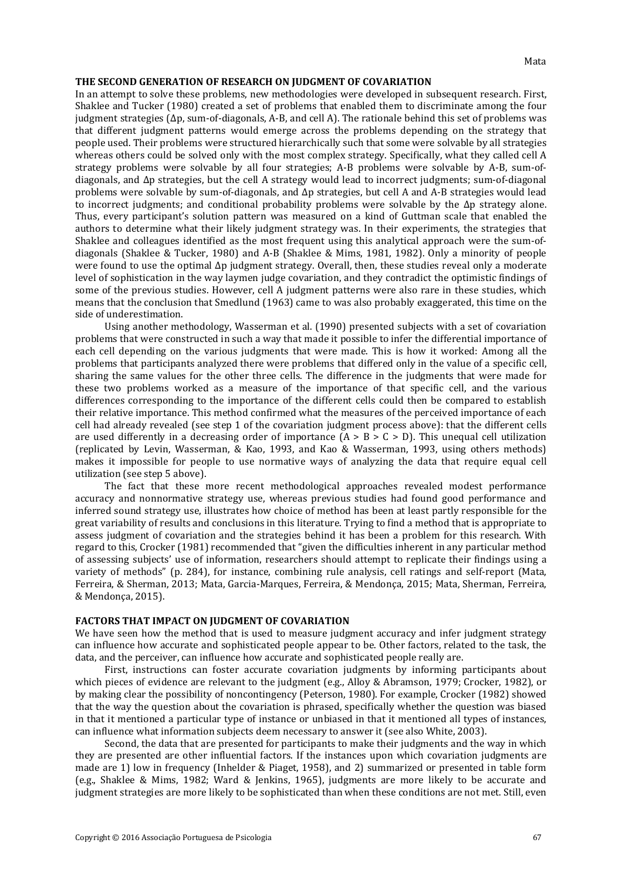#### **THE SECOND GENERATION OF RESEARCH ON JUDGMENT OF COVARIATION**

In an attempt to solve these problems, new methodologies were developed in subsequent research. First, Shaklee and Tucker (1980) created a set of problems that enabled them to discriminate among the four judgment strategies (Δp, sum-of-diagonals, A-B, and cell A). The rationale behind this set of problems was that different judgment patterns would emerge across the problems depending on the strategy that people used. Their problems were structured hierarchically such that some were solvable by all strategies whereas others could be solved only with the most complex strategy. Specifically, what they called cell A strategy problems were solvable by all four strategies; A-B problems were solvable by A-B, sum-ofdiagonals, and Δp strategies, but the cell A strategy would lead to incorrect judgments; sum-of-diagonal problems were solvable by sum-of-diagonals, and Δp strategies, but cell A and A-B strategies would lead to incorrect judgments; and conditional probability problems were solvable by the Δp strategy alone. Thus, every participant's solution pattern was measured on a kind of Guttman scale that enabled the authors to determine what their likely judgment strategy was. In their experiments, the strategies that Shaklee and colleagues identified as the most frequent using this analytical approach were the sum-ofdiagonals (Shaklee & Tucker, 1980) and A-B (Shaklee & Mims, 1981, 1982). Only a minority of people were found to use the optimal Δp judgment strategy. Overall, then, these studies reveal only a moderate level of sophistication in the way laymen judge covariation, and they contradict the optimistic findings of some of the previous studies. However, cell A judgment patterns were also rare in these studies, which means that the conclusion that Smedlund (1963) came to was also probably exaggerated, this time on the side of underestimation.

Using another methodology, Wasserman et al. (1990) presented subjects with a set of covariation problems that were constructed in such a way that made it possible to infer the differential importance of each cell depending on the various judgments that were made. This is how it worked: Among all the problems that participants analyzed there were problems that differed only in the value of a specific cell, sharing the same values for the other three cells. The difference in the judgments that were made for these two problems worked as a measure of the importance of that specific cell, and the various differences corresponding to the importance of the different cells could then be compared to establish their relative importance. This method confirmed what the measures of the perceived importance of each cell had already revealed (see step 1 of the covariation judgment process above): that the different cells are used differently in a decreasing order of importance  $(A > B > C > D)$ . This unequal cell utilization (replicated by Levin, Wasserman, & Kao, 1993, and Kao & Wasserman, 1993, using others methods) makes it impossible for people to use normative ways of analyzing the data that require equal cell utilization (see step 5 above).

The fact that these more recent methodological approaches revealed modest performance accuracy and nonnormative strategy use, whereas previous studies had found good performance and inferred sound strategy use, illustrates how choice of method has been at least partly responsible for the great variability of results and conclusions in this literature. Trying to find a method that is appropriate to assess judgment of covariation and the strategies behind it has been a problem for this research. With regard to this, Crocker (1981) recommended that "given the difficulties inherent in any particular method of assessing subjects' use of information, researchers should attempt to replicate their findings using a variety of methods" (p. 284), for instance, combining rule analysis, cell ratings and self-report (Mata, Ferreira, & Sherman, 2013; Mata, Garcia-Marques, Ferreira, & Mendonça, 2015; Mata, Sherman, Ferreira, & Mendonça, 2015).

#### **FACTORS THAT IMPACT ON JUDGMENT OF COVARIATION**

We have seen how the method that is used to measure judgment accuracy and infer judgment strategy can influence how accurate and sophisticated people appear to be. Other factors, related to the task, the data, and the perceiver, can influence how accurate and sophisticated people really are.

First, instructions can foster accurate covariation judgments by informing participants about which pieces of evidence are relevant to the judgment (e.g., Alloy & Abramson, 1979; Crocker, 1982), or by making clear the possibility of noncontingency (Peterson, 1980). For example, Crocker (1982) showed that the way the question about the covariation is phrased, specifically whether the question was biased in that it mentioned a particular type of instance or unbiased in that it mentioned all types of instances, can influence what information subjects deem necessary to answer it (see also White, 2003).

Second, the data that are presented for participants to make their judgments and the way in which they are presented are other influential factors. If the instances upon which covariation judgments are made are 1) low in frequency (Inhelder & Piaget, 1958), and 2) summarized or presented in table form (e.g., Shaklee & Mims, 1982; Ward & Jenkins, 1965), judgments are more likely to be accurate and judgment strategies are more likely to be sophisticated than when these conditions are not met. Still, even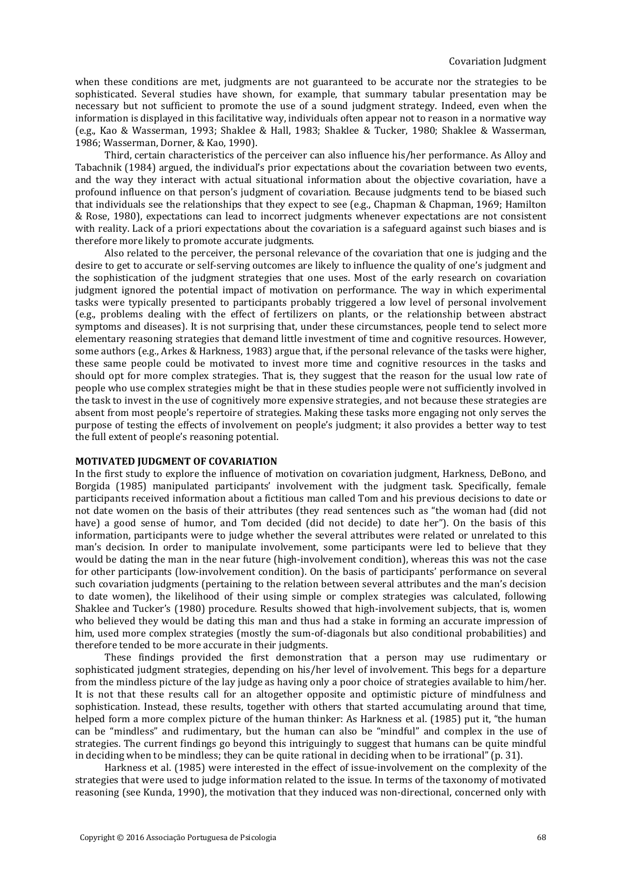when these conditions are met, judgments are not guaranteed to be accurate nor the strategies to be sophisticated. Several studies have shown, for example, that summary tabular presentation may be necessary but not sufficient to promote the use of a sound judgment strategy. Indeed, even when the information is displayed in this facilitative way, individuals often appear not to reason in a normative way (e.g., Kao & Wasserman, 1993; Shaklee & Hall, 1983; Shaklee & Tucker, 1980; Shaklee & Wasserman, 1986; Wasserman, Dorner, & Kao, 1990).

Third, certain characteristics of the perceiver can also influence his/her performance. As Alloy and Tabachnik (1984) argued, the individual's prior expectations about the covariation between two events, and the way they interact with actual situational information about the objective covariation, have a profound influence on that person's judgment of covariation. Because judgments tend to be biased such that individuals see the relationships that they expect to see (e.g., Chapman & Chapman, 1969; Hamilton & Rose, 1980), expectations can lead to incorrect judgments whenever expectations are not consistent with reality. Lack of a priori expectations about the covariation is a safeguard against such biases and is therefore more likely to promote accurate judgments.

Also related to the perceiver, the personal relevance of the covariation that one is judging and the desire to get to accurate or self-serving outcomes are likely to influence the quality of one's judgment and the sophistication of the judgment strategies that one uses. Most of the early research on covariation judgment ignored the potential impact of motivation on performance. The way in which experimental tasks were typically presented to participants probably triggered a low level of personal involvement (e.g., problems dealing with the effect of fertilizers on plants, or the relationship between abstract symptoms and diseases). It is not surprising that, under these circumstances, people tend to select more elementary reasoning strategies that demand little investment of time and cognitive resources. However, some authors (e.g., Arkes & Harkness, 1983) argue that, if the personal relevance of the tasks were higher, these same people could be motivated to invest more time and cognitive resources in the tasks and should opt for more complex strategies. That is, they suggest that the reason for the usual low rate of people who use complex strategies might be that in these studies people were not sufficiently involved in the task to invest in the use of cognitively more expensive strategies, and not because these strategies are absent from most people's repertoire of strategies. Making these tasks more engaging not only serves the purpose of testing the effects of involvement on people's judgment; it also provides a better way to test the full extent of people's reasoning potential.

#### **MOTIVATED JUDGMENT OF COVARIATION**

In the first study to explore the influence of motivation on covariation judgment, Harkness, DeBono, and Borgida (1985) manipulated participants' involvement with the judgment task. Specifically, female participants received information about a fictitious man called Tom and his previous decisions to date or not date women on the basis of their attributes (they read sentences such as "the woman had (did not have) a good sense of humor, and Tom decided (did not decide) to date her"). On the basis of this information, participants were to judge whether the several attributes were related or unrelated to this man's decision. In order to manipulate involvement, some participants were led to believe that they would be dating the man in the near future (high-involvement condition), whereas this was not the case for other participants (low-involvement condition). On the basis of participants' performance on several such covariation judgments (pertaining to the relation between several attributes and the man's decision to date women), the likelihood of their using simple or complex strategies was calculated, following Shaklee and Tucker's (1980) procedure. Results showed that high-involvement subjects, that is, women who believed they would be dating this man and thus had a stake in forming an accurate impression of him, used more complex strategies (mostly the sum-of-diagonals but also conditional probabilities) and therefore tended to be more accurate in their judgments.

These findings provided the first demonstration that a person may use rudimentary or sophisticated judgment strategies, depending on his/her level of involvement. This begs for a departure from the mindless picture of the lay judge as having only a poor choice of strategies available to him/her. It is not that these results call for an altogether opposite and optimistic picture of mindfulness and sophistication. Instead, these results, together with others that started accumulating around that time, helped form a more complex picture of the human thinker: As Harkness et al. (1985) put it, "the human can be "mindless" and rudimentary, but the human can also be "mindful" and complex in the use of strategies. The current findings go beyond this intriguingly to suggest that humans can be quite mindful in deciding when to be mindless; they can be quite rational in deciding when to be irrational" (p. 31).

Harkness et al. (1985) were interested in the effect of issue-involvement on the complexity of the strategies that were used to judge information related to the issue. In terms of the taxonomy of motivated reasoning (see Kunda, 1990), the motivation that they induced was non-directional, concerned only with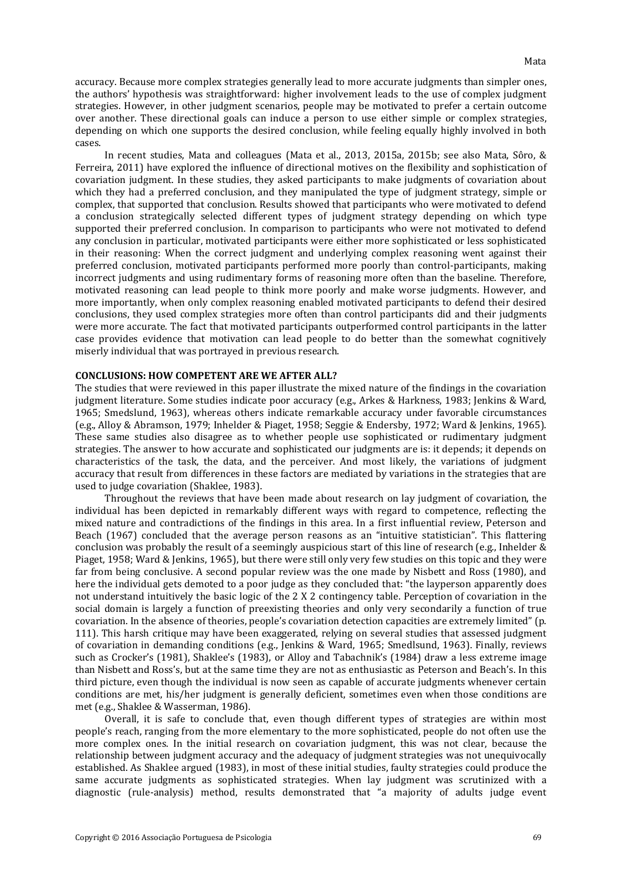accuracy. Because more complex strategies generally lead to more accurate judgments than simpler ones, the authors' hypothesis was straightforward: higher involvement leads to the use of complex judgment strategies. However, in other judgment scenarios, people may be motivated to prefer a certain outcome over another. These directional goals can induce a person to use either simple or complex strategies, depending on which one supports the desired conclusion, while feeling equally highly involved in both cases.

In recent studies, Mata and colleagues (Mata et al., 2013, 2015a, 2015b; see also Mata, Sôro, & Ferreira, 2011) have explored the influence of directional motives on the flexibility and sophistication of covariation judgment. In these studies, they asked participants to make judgments of covariation about which they had a preferred conclusion, and they manipulated the type of judgment strategy, simple or complex, that supported that conclusion. Results showed that participants who were motivated to defend a conclusion strategically selected different types of judgment strategy depending on which type supported their preferred conclusion. In comparison to participants who were not motivated to defend any conclusion in particular, motivated participants were either more sophisticated or less sophisticated in their reasoning: When the correct judgment and underlying complex reasoning went against their preferred conclusion, motivated participants performed more poorly than control-participants, making incorrect judgments and using rudimentary forms of reasoning more often than the baseline. Therefore, motivated reasoning can lead people to think more poorly and make worse judgments. However, and more importantly, when only complex reasoning enabled motivated participants to defend their desired conclusions, they used complex strategies more often than control participants did and their judgments were more accurate. The fact that motivated participants outperformed control participants in the latter case provides evidence that motivation can lead people to do better than the somewhat cognitively miserly individual that was portrayed in previous research.

#### **CONCLUSIONS: HOW COMPETENT ARE WE AFTER ALL?**

The studies that were reviewed in this paper illustrate the mixed nature of the findings in the covariation judgment literature. Some studies indicate poor accuracy (e.g., Arkes & Harkness, 1983; Jenkins & Ward, 1965; Smedslund, 1963), whereas others indicate remarkable accuracy under favorable circumstances (e.g., Alloy & Abramson, 1979; Inhelder & Piaget, 1958; Seggie & Endersby, 1972; Ward & Jenkins, 1965). These same studies also disagree as to whether people use sophisticated or rudimentary judgment strategies. The answer to how accurate and sophisticated our judgments are is: it depends; it depends on characteristics of the task, the data, and the perceiver. And most likely, the variations of judgment accuracy that result from differences in these factors are mediated by variations in the strategies that are used to judge covariation (Shaklee, 1983).

Throughout the reviews that have been made about research on lay judgment of covariation, the individual has been depicted in remarkably different ways with regard to competence, reflecting the mixed nature and contradictions of the findings in this area. In a first influential review, Peterson and Beach (1967) concluded that the average person reasons as an "intuitive statistician". This flattering conclusion was probably the result of a seemingly auspicious start of this line of research (e.g., Inhelder & Piaget, 1958; Ward & Jenkins, 1965), but there were still only very few studies on this topic and they were far from being conclusive. A second popular review was the one made by Nisbett and Ross (1980), and here the individual gets demoted to a poor judge as they concluded that: "the layperson apparently does not understand intuitively the basic logic of the 2 X 2 contingency table. Perception of covariation in the social domain is largely a function of preexisting theories and only very secondarily a function of true covariation. In the absence of theories, people's covariation detection capacities are extremely limited" (p. 111). This harsh critique may have been exaggerated, relying on several studies that assessed judgment of covariation in demanding conditions (e.g., Jenkins & Ward, 1965; Smedlsund, 1963). Finally, reviews such as Crocker's (1981), Shaklee's (1983), or Alloy and Tabachnik's (1984) draw a less extreme image than Nisbett and Ross's, but at the same time they are not as enthusiastic as Peterson and Beach's. In this third picture, even though the individual is now seen as capable of accurate judgments whenever certain conditions are met, his/her judgment is generally deficient, sometimes even when those conditions are met (e.g., Shaklee & Wasserman, 1986).

Overall, it is safe to conclude that, even though different types of strategies are within most people's reach, ranging from the more elementary to the more sophisticated, people do not often use the more complex ones. In the initial research on covariation judgment, this was not clear, because the relationship between judgment accuracy and the adequacy of judgment strategies was not unequivocally established. As Shaklee argued (1983), in most of these initial studies, faulty strategies could produce the same accurate judgments as sophisticated strategies. When lay judgment was scrutinized with a diagnostic (rule-analysis) method, results demonstrated that "a majority of adults judge event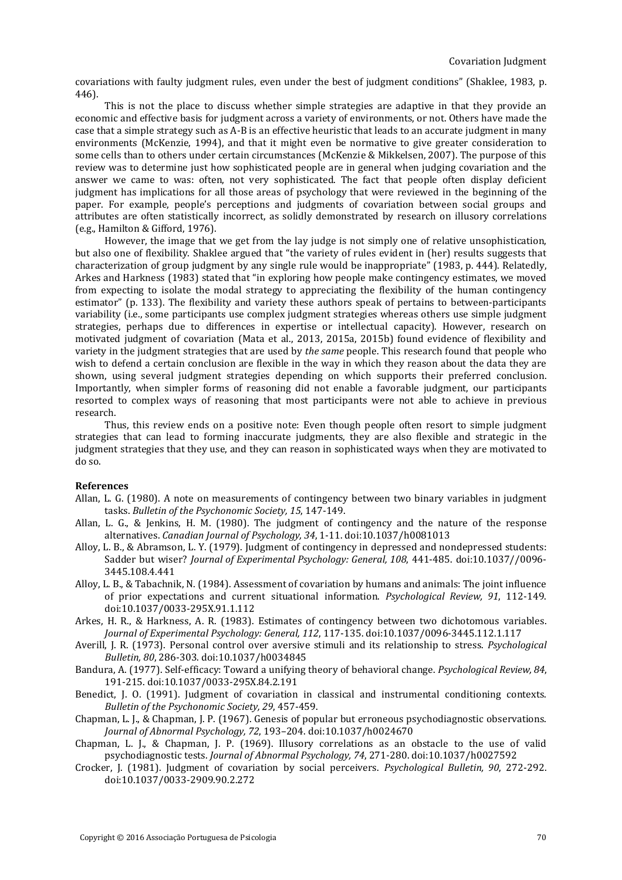covariations with faulty judgment rules, even under the best of judgment conditions" (Shaklee, 1983, p. 446).

This is not the place to discuss whether simple strategies are adaptive in that they provide an economic and effective basis for judgment across a variety of environments, or not. Others have made the case that a simple strategy such as A-B is an effective heuristic that leads to an accurate judgment in many environments (McKenzie, 1994), and that it might even be normative to give greater consideration to some cells than to others under certain circumstances (McKenzie & Mikkelsen, 2007). The purpose of this review was to determine just how sophisticated people are in general when judging covariation and the answer we came to was: often, not very sophisticated. The fact that people often display deficient judgment has implications for all those areas of psychology that were reviewed in the beginning of the paper. For example, people's perceptions and judgments of covariation between social groups and attributes are often statistically incorrect, as solidly demonstrated by research on illusory correlations (e.g., Hamilton & Gifford, 1976).

However, the image that we get from the lay judge is not simply one of relative unsophistication, but also one of flexibility. Shaklee argued that "the variety of rules evident in (her) results suggests that characterization of group judgment by any single rule would be inappropriate" (1983, p. 444). Relatedly, Arkes and Harkness (1983) stated that "in exploring how people make contingency estimates, we moved from expecting to isolate the modal strategy to appreciating the flexibility of the human contingency estimator" (p. 133). The flexibility and variety these authors speak of pertains to between-participants variability (i.e., some participants use complex judgment strategies whereas others use simple judgment strategies, perhaps due to differences in expertise or intellectual capacity). However, research on motivated judgment of covariation (Mata et al., 2013, 2015a, 2015b) found evidence of flexibility and variety in the judgment strategies that are used by *the same* people. This research found that people who wish to defend a certain conclusion are flexible in the way in which they reason about the data they are shown, using several judgment strategies depending on which supports their preferred conclusion. Importantly, when simpler forms of reasoning did not enable a favorable judgment, our participants resorted to complex ways of reasoning that most participants were not able to achieve in previous research.

Thus, this review ends on a positive note: Even though people often resort to simple judgment strategies that can lead to forming inaccurate judgments, they are also flexible and strategic in the judgment strategies that they use, and they can reason in sophisticated ways when they are motivated to do so.

#### **References**

- Allan, L. G. (1980). A note on measurements of contingency between two binary variables in judgment tasks. *Bulletin of the Psychonomic Society, 15*, 147-149.
- Allan, L. G., & Jenkins, H. M. (1980). The judgment of contingency and the nature of the response alternatives. *Canadian Journal of Psychology, 34*, 1-11. doi:10.1037/h0081013
- Alloy, L. B., & Abramson, L. Y. (1979). Judgment of contingency in depressed and nondepressed students: Sadder but wiser? *Journal of Experimental Psychology: General, 108*, 441-485. doi:10.1037//0096- 3445.108.4.441
- Alloy, L. B., & Tabachnik, N. (1984). Assessment of covariation by humans and animals: The joint influence of prior expectations and current situational information. *Psychological Review, 91*, 112-149. doi:10.1037/0033-295X.91.1.112
- Arkes, H. R., & Harkness, A. R. (1983). Estimates of contingency between two dichotomous variables. *Journal of Experimental Psychology: General, 112*, 117-135. doi:10.1037/0096-3445.112.1.117
- Averill, J. R. (1973). Personal control over aversive stimuli and its relationship to stress. *Psychological Bulletin, 80*, 286-303. doi:10.1037/h0034845
- Bandura, A. (1977). Self-efficacy: Toward a unifying theory of behavioral change. *Psychological Review, 84*, 191-215. doi:10.1037/0033-295X.84.2.191
- Benedict, J. O. (1991). Judgment of covariation in classical and instrumental conditioning contexts. *Bulletin of the Psychonomic Society, 29*, 457-459.
- Chapman, L. J., & Chapman, J. P. (1967). Genesis of popular but erroneous psychodiagnostic observations. *Journal of Abnormal Psychology, 72*, 193–204. doi:10.1037/h0024670
- Chapman, L. J., & Chapman, J. P. (1969). Illusory correlations as an obstacle to the use of valid psychodiagnostic tests. *Journal of Abnormal Psychology, 74*, 271-280. doi:10.1037/h0027592
- Crocker, J. (1981). Judgment of covariation by social perceivers. *Psychological Bulletin, 90*, 272-292. doi:10.1037/0033-2909.90.2.272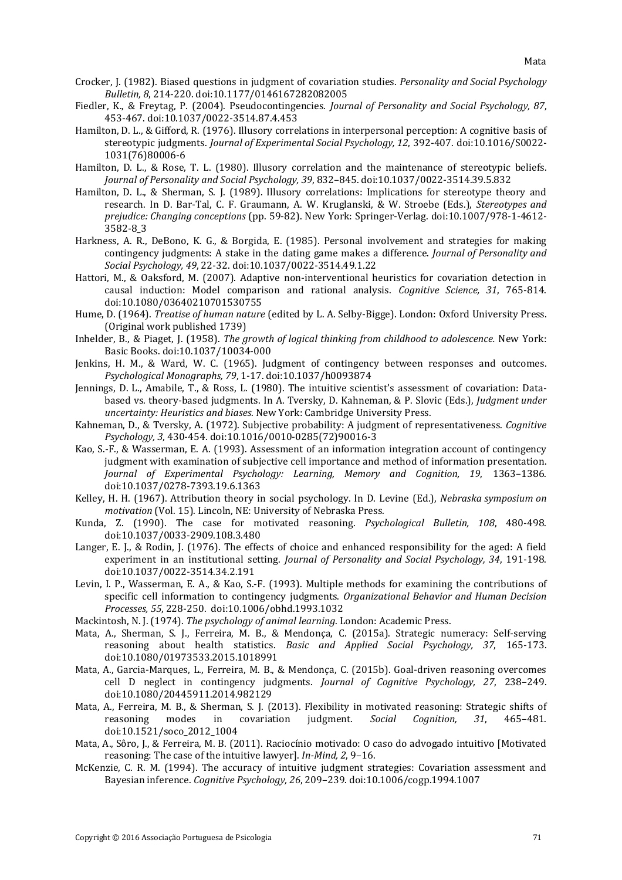- Crocker, J. (1982). Biased questions in judgment of covariation studies. *Personality and Social Psychology Bulletin, 8*, 214-220. doi:10.1177/0146167282082005
- Fiedler, K., & Freytag, P. (2004). Pseudocontingencies. *Journal of Personality and Social Psychology, 87*, 453-467. doi:10.1037/0022-3514.87.4.453
- Hamilton, D. L., & Gifford, R. (1976). Illusory correlations in interpersonal perception: A cognitive basis of stereotypic judgments. *Journal of Experimental Social Psychology, 12*, 392-407. doi:10.1016/S0022- 1031(76)80006-6
- Hamilton, D. L., & Rose, T. L. (1980). Illusory correlation and the maintenance of stereotypic beliefs. *Journal of Personality and Social Psychology, 39*, 832–845. doi:10.1037/0022-3514.39.5.832
- Hamilton, D. L., & Sherman, S. J. (1989). Illusory correlations: Implications for stereotype theory and research. In D. Bar-Tal, C. F. Graumann, A. W. Kruglanski, & W. Stroebe (Eds.), *Stereotypes and prejudice: Changing conceptions* (pp. 59-82). New York: Springer-Verlag. doi:10.1007/978-1-4612- 3582-8\_3
- Harkness, A. R., DeBono, K. G., & Borgida, E. (1985). Personal involvement and strategies for making contingency judgments: A stake in the dating game makes a difference. *Journal of Personality and Social Psychology, 49*, 22-32. doi:10.1037/0022-3514.49.1.22
- Hattori, M., & Oaksford, M. (2007). Adaptive non-interventional heuristics for covariation detection in causal induction: Model comparison and rational analysis. *Cognitive Science, 31*, 765-814. doi:10.1080/03640210701530755
- Hume, D. (1964). *Treatise of human nature* (edited by L. A. Selby-Bigge). London: Oxford University Press. (Original work published 1739)
- Inhelder, B., & Piaget, J. (1958). *The growth of logical thinking from childhood to adolescence.* New York: Basic Books. doi:10.1037/10034-000
- Jenkins, H. M., & Ward, W. C. (1965). Judgment of contingency between responses and outcomes. *Psychological Monographs, 79*, 1-17. doi:10.1037/h0093874
- Jennings, D. L., Amabile, T., & Ross, L. (1980). The intuitive scientist's assessment of covariation: Databased vs. theory-based judgments. In A. Tversky, D. Kahneman, & P. Slovic (Eds.), *Judgment under uncertainty: Heuristics and biases*. New York: Cambridge University Press.
- Kahneman, D., & Tversky, A. (1972). Subjective probability: A judgment of representativeness. *Cognitive Psychology, 3*, 430-454. doi:10.1016/0010-0285(72)90016-3
- Kao, S.-F., & Wasserman, E. A. (1993). Assessment of an information integration account of contingency judgment with examination of subjective cell importance and method of information presentation. *Journal of Experimental Psychology: Learning, Memory and Cognition, 19*, 1363–1386. doi:10.1037/0278-7393.19.6.1363
- Kelley, H. H. (1967). Attribution theory in social psychology. In D. Levine (Ed.), *Nebraska symposium on motivation* (Vol. 15). Lincoln, NE: University of Nebraska Press.
- Kunda, Z. (1990). The case for motivated reasoning. *Psychological Bulletin, 108*, 480-498. doi:10.1037/0033-2909.108.3.480
- Langer, E. J., & Rodin, J. (1976). The effects of choice and enhanced responsibility for the aged: A field experiment in an institutional setting. *Journal of Personality and Social Psychology, 34*, 191-198. doi:10.1037/0022-3514.34.2.191
- Levin, I. P., Wasserman, E. A., & Kao, S.-F. (1993). Multiple methods for examining the contributions of specific cell information to contingency judgments. *Organizational Behavior and Human Decision Processes, 55*, 228-250. doi:10.1006/obhd.1993.1032
- Mackintosh, N. J. (1974). *The psychology of animal learning*. London: Academic Press.
- Mata, A., Sherman, S. J., Ferreira, M. B., & Mendonça, C. (2015a). Strategic numeracy: Self-serving reasoning about health statistics. *Basic and Applied Social Psychology, 37*, 165-173. doi:10.1080/01973533.2015.1018991
- Mata, A., Garcia-Marques, L., Ferreira, M. B., & Mendonça, C. (2015b). Goal-driven reasoning overcomes cell D neglect in contingency judgments. *Journal of Cognitive Psychology, 27*, 238–249. doi:10.1080/20445911.2014.982129
- Mata, A., Ferreira, M. B., & Sherman, S. J. (2013). Flexibility in motivated reasoning: Strategic shifts of reasoning modes in covariation judgment. Social Cognition. 31. 465-481. reasoning modes in covariation judgment. *Social Cognition, 31*, 465–481. doi:10.1521/soco\_2012\_1004
- Mata, A., Sôro, J., & Ferreira, M. B. (2011). Raciocínio motivado: O caso do advogado intuitivo [Motivated reasoning: The case of the intuitive lawyer]. *In-Mind, 2*, 9–16.
- McKenzie, C. R. M. (1994). The accuracy of intuitive judgment strategies: Covariation assessment and Bayesian inference. *Cognitive Psychology, 26*, 209–239. doi:10.1006/cogp.1994.1007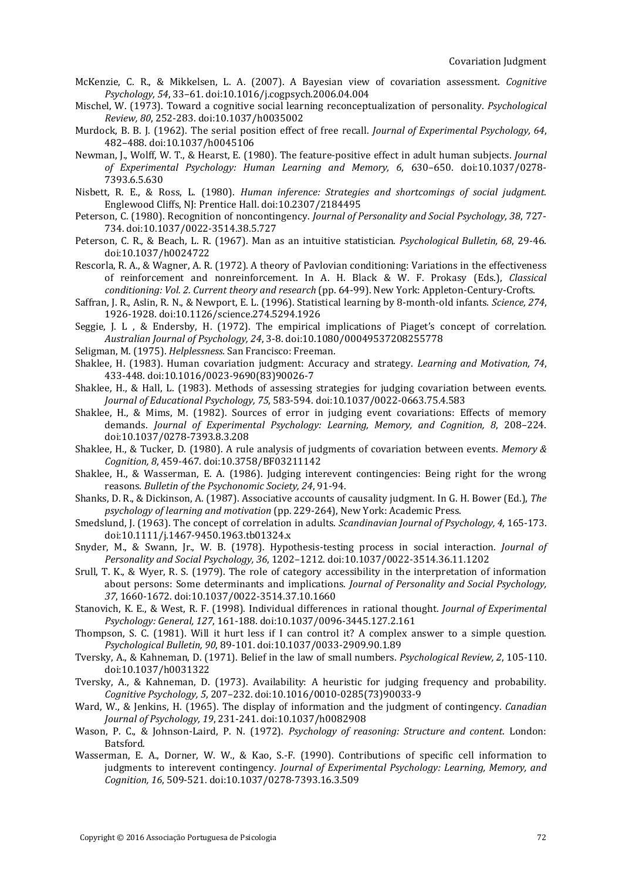- McKenzie, C. R., & Mikkelsen, L. A. (2007). A Bayesian view of covariation assessment. *Cognitive Psychology, 54*, 33–61. doi:10.1016/j.cogpsych.2006.04.004
- Mischel, W. (1973). Toward a cognitive social learning reconceptualization of personality. *Psychological Review, 80*, 252-283. doi:10.1037/h0035002
- Murdock, B. B. J. (1962). The serial position effect of free recall. *Journal of Experimental Psychology, 64*, 482–488. doi:10.1037/h0045106
- Newman, J., Wolff, W. T., & Hearst, E. (1980). The feature-positive effect in adult human subjects. *Journal of Experimental Psychology: Human Learning and Memory, 6*, 630–650. doi:10.1037/0278- 7393.6.5.630
- Nisbett, R. E., & Ross, L. (1980). *Human inference: Strategies and shortcomings of social judgment*. Englewood Cliffs, NJ: Prentice Hall. doi:10.2307/2184495
- Peterson, C. (1980). Recognition of noncontingency. *Journal of Personality and Social Psychology, 38*, 727- 734. doi:10.1037/0022-3514.38.5.727
- Peterson, C. R., & Beach, L. R. (1967). Man as an intuitive statistician. *Psychological Bulletin, 68*, 29-46. doi:10.1037/h0024722
- Rescorla, R. A., & Wagner, A. R. (1972). A theory of Pavlovian conditioning: Variations in the effectiveness of reinforcement and nonreinforcement. In A. H. Black & W. F. Prokasy (Eds.), *Classical conditioning: Vol. 2. Current theory and research* (pp. 64-99). New York: Appleton-Century-Crofts.
- Saffran, J. R., Aslin, R. N., & Newport, E. L. (1996). Statistical learning by 8-month-old infants. *Science, 274*, 1926-1928. doi:10.1126/science.274.5294.1926
- Seggie, J. L , & Endersby, H. (1972). The empirical implications of Piaget's concept of correlation. *Australian Journal of Psychology, 24*, 3-8. doi:10.1080/00049537208255778
- Seligman, M. (1975). *Helplessness.* San Francisco: Freeman.
- Shaklee, H. (1983). Human covariation judgment: Accuracy and strategy. *Learning and Motivation, 74*, 433-448. doi:10.1016/0023-9690(83)90026-7
- Shaklee, H., & Hall, L. (1983). Methods of assessing strategies for judging covariation between events. *Journal of Educational Psychology, 75*, 583-594. doi:10.1037/0022-0663.75.4.583
- Shaklee, H., & Mims, M. (1982). Sources of error in judging event covariations: Effects of memory demands. *Journal of Experimental Psychology: Learning, Memory, and Cognition, 8*, 208–224. doi:10.1037/0278-7393.8.3.208
- Shaklee, H., & Tucker, D. (1980). A rule analysis of judgments of covariation between events. *Memory & Cognition, 8*, 459-467. doi:10.3758/BF03211142
- Shaklee, H., & Wasserman, E. A. (1986). Judging interevent contingencies: Being right for the wrong reasons. *Bulletin of the Psychonomic Society, 24*, 91-94.
- Shanks, D. R., & Dickinson, A. (1987). Associative accounts of causality judgment. In G. H. Bower (Ed.), *The psychology of learning and motivation* (pp. 229-264), New York: Academic Press.
- Smedslund, J. (1963). The concept of correlation in adults. *Scandinavian Journal of Psychology, 4*, 165-173. doi:10.1111/j.1467-9450.1963.tb01324.x
- Snyder, M., & Swann, Jr., W. B. (1978). Hypothesis-testing process in social interaction. *Journal of Personality and Social Psychology, 36*, 1202–1212. doi:10.1037/0022-3514.36.11.1202
- Srull, T. K., & Wyer, R. S. (1979). The role of category accessibility in the interpretation of information about persons: Some determinants and implications. *Journal of Personality and Social Psychology, 37*, 1660-1672. doi:10.1037/0022-3514.37.10.1660
- Stanovich, K. E., & West, R. F. (1998). Individual differences in rational thought. *Journal of Experimental Psychology: General, 127*, 161-188. doi:10.1037/0096-3445.127.2.161
- Thompson, S. C. (1981). Will it hurt less if I can control it? A complex answer to a simple question. *Psychological Bulletin, 90*, 89-101. doi:10.1037/0033-2909.90.1.89
- Tversky, A., & Kahneman, D. (1971). Belief in the law of small numbers. *Psychological Review, 2*, 105-110. doi:10.1037/h0031322
- Tversky, A., & Kahneman, D. (1973). Availability: A heuristic for judging frequency and probability. *Cognitive Psychology, 5*, 207–232. doi:10.1016/0010-0285(73)90033-9
- Ward, W., & Jenkins, H. (1965). The display of information and the judgment of contingency. *Canadian Journal of Psychology, 19*, 231-241. doi:10.1037/h0082908
- Wason, P. C., & Johnson-Laird, P. N. (1972). *Psychology of reasoning: Structure and content*. London: Batsford.
- Wasserman, E. A., Dorner, W. W., & Kao, S.-F. (1990). Contributions of specific cell information to judgments to interevent contingency. *Journal of Experimental Psychology: Learning, Memory, and Cognition, 16*, 509-521. doi:10.1037/0278-7393.16.3.509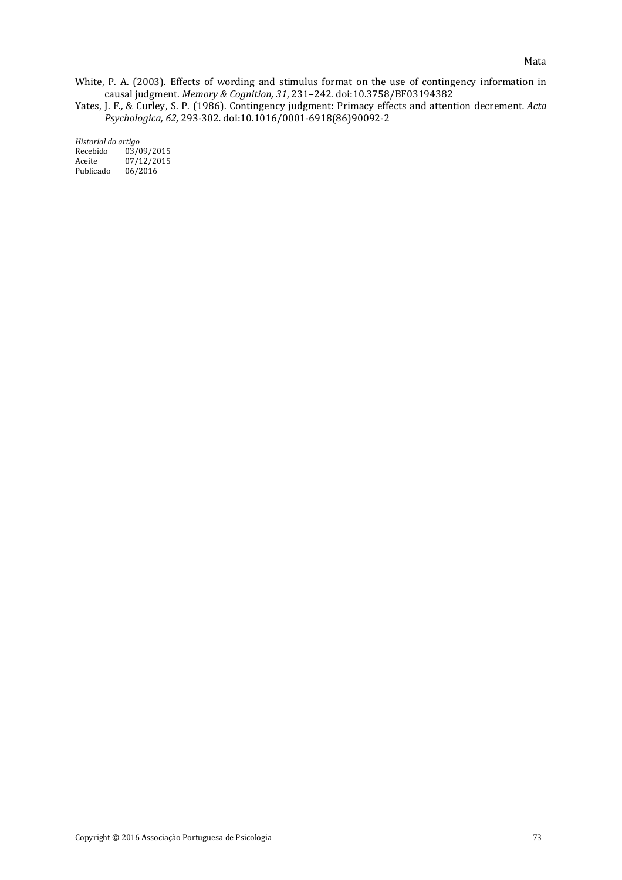White, P. A. (2003). Effects of wording and stimulus format on the use of contingency information in causal judgment. *Memory & Cognition, 31*, 231–242. doi:10.3758/BF03194382

Yates, J. F.*,* & Curley, S. P. (1986). Contingency judgment: Primacy effects and attention decrement*. Acta Psychologica, 62,* 293*-*302*.* doi:10.1016/0001-6918(86)90092-2

*Historial do artigo* Recebido 03/09/2015<br>Aceite 07/12/2015 Aceite 07/12/2015<br>Publicado 06/2016  $06/2016$